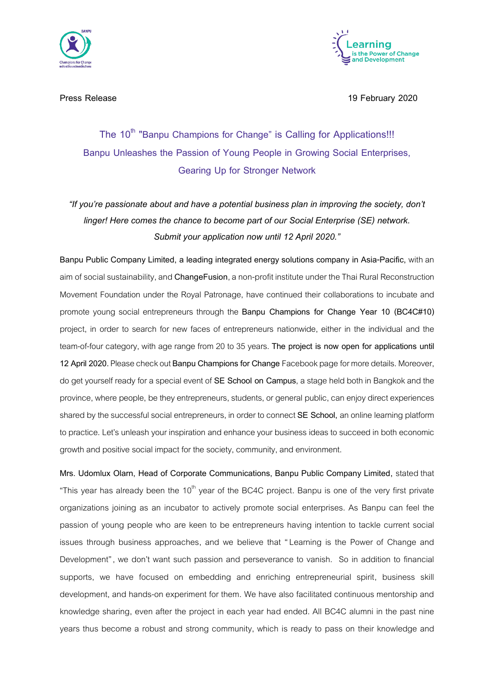



**Press Release 19 February 2020**

## **The 10th "Banpu Champions for Change" is Calling for Applications!!! Banpu Unleashes the Passion of Young People in Growing Social Enterprises, Gearing Up for Stronger Network**

*"If you're passionate about and have a potential business plan in improving the society, don't linger! Here comes the chance to become part of our Social Enterprise (SE) network. Submit your application now until 12 April 2020."*

**Banpu Public Company Limited, a leading integrated energy solutions company in Asia-Pacific,** with an aim ofsocial sustainability, and **ChangeFusion**, a non-profit institute under the Thai Rural Reconstruction Movement Foundation under the Royal Patronage, have continued their collaborations to incubate and promote young social entrepreneurs through the **Banpu Champions for Change Year 10 (BC4C#10)**  project, in order to search for new faces of entrepreneurs nationwide, either in the individual and the team-of-four category, with age range from 20 to 35 years. **The project is now open for applications until 12 April 2020.** Please checkout **[Banpu Champions](http://www.facebook.com/banpuchampions)for Change**Facebook pagefor more details. Moreover, do get yourself ready for a special event of SE School on Campus, a stage held both in Bangkok and the province, where people, be they entrepreneurs, students, or general public, can enjoy direct experiences shared by the successful social entrepreneurs, in order to connect SE School, an online learning platform to practice. Let's unleash your inspiration and enhance your business ideas to succeed in both economic growth and positive social impact for the society, community, and environment.

**Mrs. Udomlux Olarn, Head of Corporate Communications, Banpu Public Company Limited,** stated that "This year has already been the  $10<sup>th</sup>$  year of the BC4C project. Banpu is one of the very first private organizations joining as an incubator to actively promote social enterprises. As Banpu can feel the passion of young people who are keen to be entrepreneurs having intention to tackle current social issues through business approaches, and we believe that "Learning is the Power of Change and Development", we don't want such passion and perseverance to vanish. So in addition to financial supports, we have focused on embedding and enriching entrepreneurial spirit, business skill development, and hands-on experiment for them. We have also facilitated continuous mentorship and knowledge sharing, even after the project in each year had ended. All BC4C alumni in the past nine years thus become a robust and strong community, which is ready to pass on their knowledge and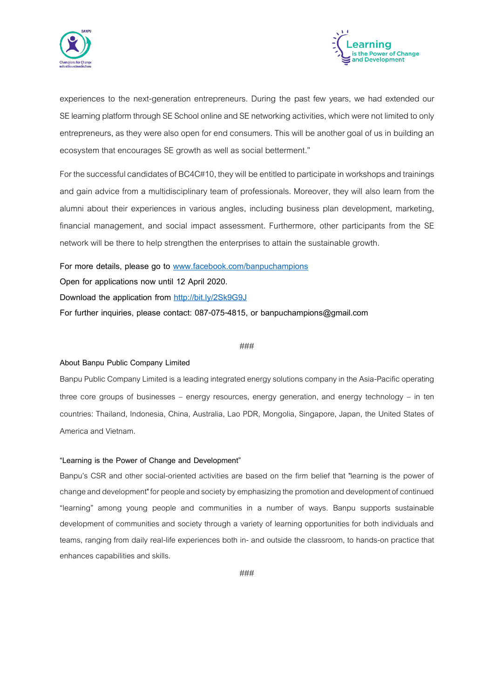



experiences to the next-generation entrepreneurs. During the past few years, we had extended our SE learning platform through SE School online and SE networking activities, which were not limited to only entrepreneurs, as they were also open for end consumers. This will be another goal of us in building an ecosystem that encourages SE growth as well as social betterment."

For the successful candidates of BC4C#10, they will be entitled to participate in workshopsand trainings and gain advice from a multidisciplinary team of professionals. Moreover, they will also learn from the alumni about their experiences in various angles, including business plan development, marketing, financial management, and social impact assessment. Furthermore, other participants from the SE network will be there to help strengthen the enterprises to attain the sustainable growth.

**For more details, please go to [www.facebook.com/banpuchampions](http://www.facebook.com/banpuchampions) Open for applications now until 12 April 2020. Download the application from <http://bit.ly/2Sk9G9J> For further inquiries, please contact: 087-075-4815, or banpuchampions@gmail.com**

#### ###

#### **About Banpu Public Company Limited**

Banpu Public Company Limited is a leading integrated energy solutions company in the Asia-Pacific operating three core groups of businesses – energy resources, energy generation, and energy technology – in ten countries: Thailand, Indonesia, China, Australia, Lao PDR, Mongolia, Singapore, Japan, the United States of America and Vietnam.

#### **"Learning is the Power of Change and Development"**

Banpu's CSR and other social-oriented activities are based on the firm belief that "learning is the power of change and development" for people and society by emphasizing the promotion and development of continued "learning" among young people and communities in a number of ways. Banpu supports sustainable development of communities and society through a variety of learning opportunities for both individuals and teams, ranging from daily real-life experiences both in- and outside the classroom, to hands-on practice that enhances capabilities and skills.